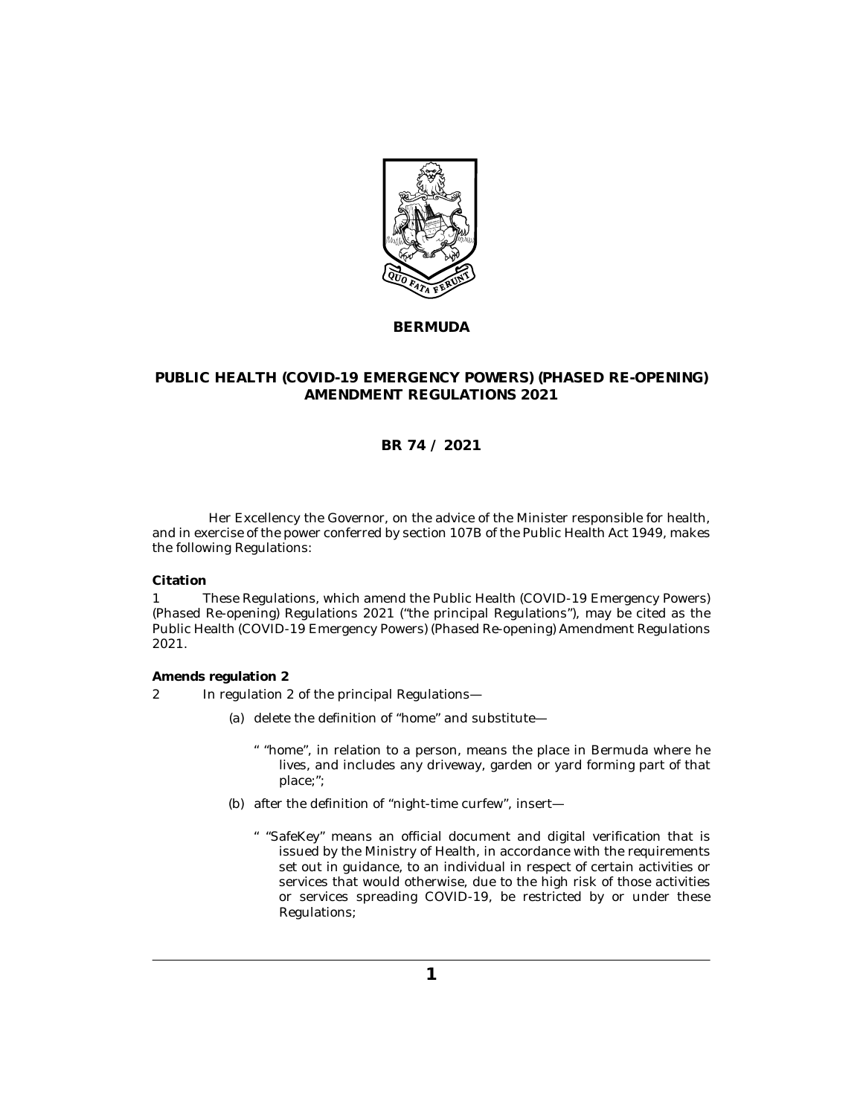

**BERMUDA**

## **PUBLIC HEALTH (COVID-19 EMERGENCY POWERS) (PHASED RE-OPENING) AMENDMENT REGULATIONS 2021**

## **BR 74 / 2021**

Her Excellency the Governor, on the advice of the Minister responsible for health, and in exercise of the power conferred by section 107B of the Public Health Act 1949, makes the following Regulations:

**Citation**

These Regulations, which amend the Public Health (COVID-19 Emergency Powers) (Phased Re-opening) Regulations 2021 ("the principal Regulations"), may be cited as the Public Health (COVID-19 Emergency Powers) (Phased Re-opening) Amendment Regulations 2021. 1

**Amends regulation 2**

- In regulation 2 of the principal Regulations— 2
	- (a) delete the definition of "home" and substitute—
		- " "home", in relation to a person, means the place in Bermuda where he lives, and includes any driveway, garden or yard forming part of that place;";
	- (b) after the definition of "night-time curfew", insert—
		- " "SafeKey" means an official document and digital verification that is issued by the Ministry of Health, in accordance with the requirements set out in guidance, to an individual in respect of certain activities or services that would otherwise, due to the high risk of those activities or services spreading COVID-19, be restricted by or under these Regulations;